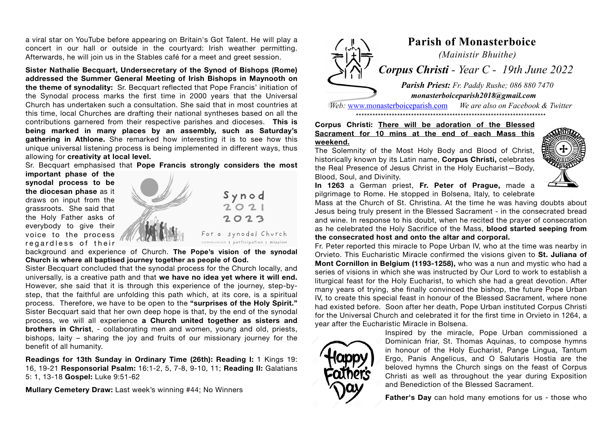a viral star on YouTube before appearing on Britain's Got Talent. He will play a concert in our hall or outside in the courtyard: Irish weather permitting. Afterwards, he will join us in the Stables café for a meet and greet session.

**Sister Nathalie Becquart, Undersecretary of the Synod of Bishops (Rome) addressed the Summer General Meeting of Irish Bishops in Maynooth on the theme of synodality:** Sr. Becquart reflected that Pope Francis' initiation of the Synodal process marks the first time in 2000 years that the Universal Church has undertaken such a consultation. She said that in most countries at this time, local Churches are drafting their national syntheses based on all the contributions garnered from their respective parishes and dioceses. **This is being marked in many places by an assembly, such as Saturday's gathering in Athlone.** She remarked how interesting it is to see how this unique universal listening process is being implemented in different ways, thus allowing for **creativity at local level.**

Sr. Becquart emphasised that **Pope Francis strongly considers the most**

**important phase of the synodal process to be the diocesan phase** as it draws on input from the grassroots. She said that the Holy Father asks of everybody to give their voice to the process regardless of their



background and experience of Church. **The Pope's vision of the synodal Church is where all baptised journey together as people of God.**

Sister Becquart concluded that the synodal process for the Church locally, and universally, is a creative path and that **we have no idea yet where it will end.** However, she said that it is through this experience of the journey, step-bystep, that the faithful are unfolding this path which, at its core, is a spiritual process. Therefore, we have to be open to the **"surprises of the Holy Spirit."** Sister Becquart said that her own deep hope is that, by the end of the synodal process, we will all experience **a Church united together as sisters and brothers in Christ**, - collaborating men and women, young and old, priests, bishops, laity – sharing the joy and fruits of our missionary journey for the benefit of all humanity.

**Readings for 13th Sunday in Ordinary Time (26th): Reading I:** 1 Kings 19: 16, 19-21 **Responsorial Psalm:** 16:1-2, 5, 7-8, 9-10, 11; **Reading II:** Galatians 5: 1, 13-18 **Gospel:** Luke 9:51-62

**Mullary Cemetery Draw:** Last week's winning #44; No Winners



*Web:* [www.monasterboiceparish.com](http://www.monasterboiceparish.com) *We are also on Facebook & Twitter* \*\*\*\*\*\*\*\*\*\*\*\*\*\*\*\*\*\*\*\*\*\*\*\*\*\*\*\*\*\*\*\*\*\*\*\*\*\*\*\*\*\*\*\*\*\*\*\*\*\*\*\*\*\*\*\*\*\*\*\*\*\*\*\*\*\*\*\*\*

## **Corpus Christi: There will be adoration of the Blessed Sacrament for 10 mins at the end of each Mass this weekend.**

The Solemnity of the Most Holy Body and Blood of Christ, historically known by its Latin name, **Corpus Christi,** celebrates the Real Presence of Jesus Christ in the Holy Eucharist—Body, Blood, Soul, and Divinity.



**In 1263** a German priest, **Fr. Peter of Prague,** made a pilgrimage to Rome. He stopped in Bolsena, Italy, to celebrate

Mass at the Church of St. Christina. At the time he was having doubts about Jesus being truly present in the Blessed Sacrament - in the consecrated bread and wine. In response to his doubt, when he recited the prayer of consecration as he celebrated the Holy Sacrifice of the Mass, **blood started seeping from the consecrated host and onto the altar and corporal.** 

Fr. Peter reported this miracle to Pope Urban IV, who at the time was nearby in Orvieto. This Eucharistic Miracle confirmed the visions given to **St. Juliana of Mont Cornillon in Belgium (1193-1258),** who was a nun and mystic who had a series of visions in which she was instructed by Our Lord to work to establish a liturgical feast for the Holy Eucharist, to which she had a great devotion. After many years of trying, she finally convinced the bishop, the future Pope Urban IV, to create this special feast in honour of the Blessed Sacrament, where none had existed before. Soon after her death, Pope Urban instituted Corpus Christi for the Universal Church and celebrated it for the first time in Orvieto in 1264, a year after the Eucharistic Miracle in Bolsena.



Inspired by the miracle, Pope Urban commissioned a Dominican friar, St. Thomas Aquinas, to compose hymns in honour of the Holy Eucharist, Pange Lingua, Tantum Ergo, Panis Angelicus, and O Salutaris Hostia are the beloved hymns the Church sings on the feast of Corpus Christi as well as throughout the year during Exposition and Benediction of the Blessed Sacrament.

**Father's Day** can hold many emotions for us - those who